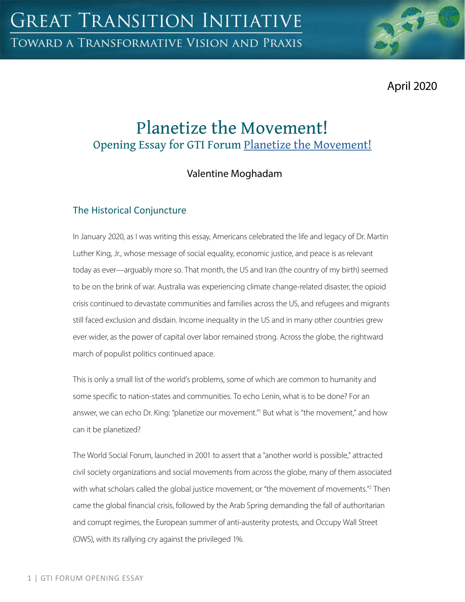April 2020

# Planetize the Movement! Opening Essay for GTI Forum [Planetize the Movement!](https://greattransition.org/gti-forum/planetize-the-movement)

# Valentine Moghadam

### The Historical Conjuncture

In January 2020, as I was writing this essay, Americans celebrated the life and legacy of Dr. Martin Luther King, Jr., whose message of social equality, economic justice, and peace is as relevant today as ever—arguably more so. That month, the US and Iran (the country of my birth) seemed to be on the brink of war. Australia was experiencing climate change-related disaster, the opioid crisis continued to devastate communities and families across the US, and refugees and migrants still faced exclusion and disdain. Income inequality in the US and in many other countries grew ever wider, as the power of capital over labor remained strong. Across the globe, the rightward march of populist politics continued apace.

This is only a small list of the world's problems, some of which are common to humanity and some specific to nation-states and communities. To echo Lenin, what is to be done? For an answer, we can echo Dr. King: "planetize our movement."<sup>1</sup> But what is "the movement," and how can it be planetized?

The World Social Forum, launched in 2001 to assert that a "another world is possible," attracted civil society organizations and social movements from across the globe, many of them associated with what scholars called the global justice movement, or "the movement of movements."<sup>2</sup> Then came the global financial crisis, followed by the Arab Spring demanding the fall of authoritarian and corrupt regimes, the European summer of anti-austerity protests, and Occupy Wall Street (OWS), with its rallying cry against the privileged 1%.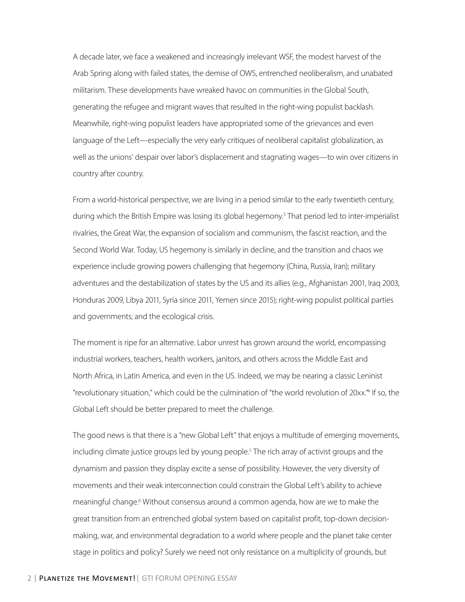A decade later, we face a weakened and increasingly irrelevant WSF, the modest harvest of the Arab Spring along with failed states, the demise of OWS, entrenched neoliberalism, and unabated militarism. These developments have wreaked havoc on communities in the Global South, generating the refugee and migrant waves that resulted in the right-wing populist backlash. Meanwhile, right-wing populist leaders have appropriated some of the grievances and even language of the Left—especially the very early critiques of neoliberal capitalist globalization, as well as the unions' despair over labor's displacement and stagnating wages—to win over citizens in country after country.

From a world-historical perspective, we are living in a period similar to the early twentieth century, during which the British Empire was losing its global hegemony.<sup>3</sup> That period led to inter-imperialist rivalries, the Great War, the expansion of socialism and communism, the fascist reaction, and the Second World War. Today, US hegemony is similarly in decline, and the transition and chaos we experience include growing powers challenging that hegemony (China, Russia, Iran); military adventures and the destabilization of states by the US and its allies (e.g., Afghanistan 2001, Iraq 2003, Honduras 2009, Libya 2011, Syria since 2011, Yemen since 2015); right-wing populist political parties and governments; and the ecological crisis.

The moment is ripe for an alternative. Labor unrest has grown around the world, encompassing industrial workers, teachers, health workers, janitors, and others across the Middle East and North Africa, in Latin America, and even in the US. Indeed, we may be nearing a classic Leninist "revolutionary situation," which could be the culmination of "the world revolution of 20xx."4 If so, the Global Left should be better prepared to meet the challenge.

The good news is that there is a "new Global Left" that enjoys a multitude of emerging movements, including climate justice groups led by young people.<sup>5</sup> The rich array of activist groups and the dynamism and passion they display excite a sense of possibility. However, the very diversity of movements and their weak interconnection could constrain the Global Left's ability to achieve meaningful change.<sup>6</sup> Without consensus around a common agenda, how are we to make the great transition from an entrenched global system based on capitalist profit, top-down decisionmaking, war, and environmental degradation to a world where people and the planet take center stage in politics and policy? Surely we need not only resistance on a multiplicity of grounds, but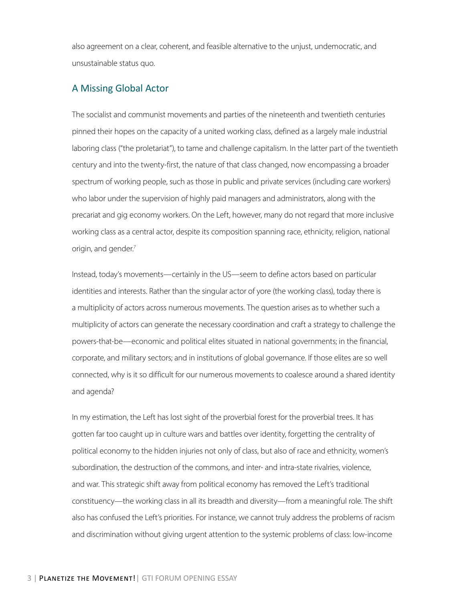also agreement on a clear, coherent, and feasible alternative to the unjust, undemocratic, and unsustainable status quo.

#### A Missing Global Actor

The socialist and communist movements and parties of the nineteenth and twentieth centuries pinned their hopes on the capacity of a united working class, defined as a largely male industrial laboring class ("the proletariat"), to tame and challenge capitalism. In the latter part of the twentieth century and into the twenty-first, the nature of that class changed, now encompassing a broader spectrum of working people, such as those in public and private services (including care workers) who labor under the supervision of highly paid managers and administrators, along with the precariat and gig economy workers. On the Left, however, many do not regard that more inclusive working class as a central actor, despite its composition spanning race, ethnicity, religion, national origin, and gender.<sup>7</sup>

Instead, today's movements—certainly in the US—seem to define actors based on particular identities and interests. Rather than the singular actor of yore (the working class), today there is a multiplicity of actors across numerous movements. The question arises as to whether such a multiplicity of actors can generate the necessary coordination and craft a strategy to challenge the powers-that-be—economic and political elites situated in national governments; in the financial, corporate, and military sectors; and in institutions of global governance. If those elites are so well connected, why is it so difficult for our numerous movements to coalesce around a shared identity and agenda?

In my estimation, the Left has lost sight of the proverbial forest for the proverbial trees. It has gotten far too caught up in culture wars and battles over identity, forgetting the centrality of political economy to the hidden injuries not only of class, but also of race and ethnicity, women's subordination, the destruction of the commons, and inter- and intra-state rivalries, violence, and war. This strategic shift away from political economy has removed the Left's traditional constituency—the working class in all its breadth and diversity—from a meaningful role. The shift also has confused the Left's priorities. For instance, we cannot truly address the problems of racism and discrimination without giving urgent attention to the systemic problems of class: low-income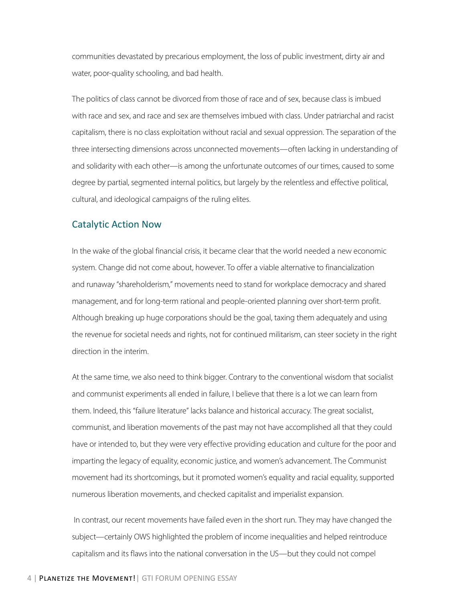communities devastated by precarious employment, the loss of public investment, dirty air and water, poor-quality schooling, and bad health.

The politics of class cannot be divorced from those of race and of sex, because class is imbued with race and sex, and race and sex are themselves imbued with class. Under patriarchal and racist capitalism, there is no class exploitation without racial and sexual oppression. The separation of the three intersecting dimensions across unconnected movements—often lacking in understanding of and solidarity with each other—is among the unfortunate outcomes of our times, caused to some degree by partial, segmented internal politics, but largely by the relentless and effective political, cultural, and ideological campaigns of the ruling elites.

#### Catalytic Action Now

In the wake of the global financial crisis, it became clear that the world needed a new economic system. Change did not come about, however. To offer a viable alternative to financialization and runaway "shareholderism," movements need to stand for workplace democracy and shared management, and for long-term rational and people-oriented planning over short-term profit. Although breaking up huge corporations should be the goal, taxing them adequately and using the revenue for societal needs and rights, not for continued militarism, can steer society in the right direction in the interim.

At the same time, we also need to think bigger. Contrary to the conventional wisdom that socialist and communist experiments all ended in failure, I believe that there is a lot we can learn from them. Indeed, this "failure literature" lacks balance and historical accuracy. The great socialist, communist, and liberation movements of the past may not have accomplished all that they could have or intended to, but they were very effective providing education and culture for the poor and imparting the legacy of equality, economic justice, and women's advancement. The Communist movement had its shortcomings, but it promoted women's equality and racial equality, supported numerous liberation movements, and checked capitalist and imperialist expansion.

 In contrast, our recent movements have failed even in the short run. They may have changed the subject—certainly OWS highlighted the problem of income inequalities and helped reintroduce capitalism and its flaws into the national conversation in the US—but they could not compel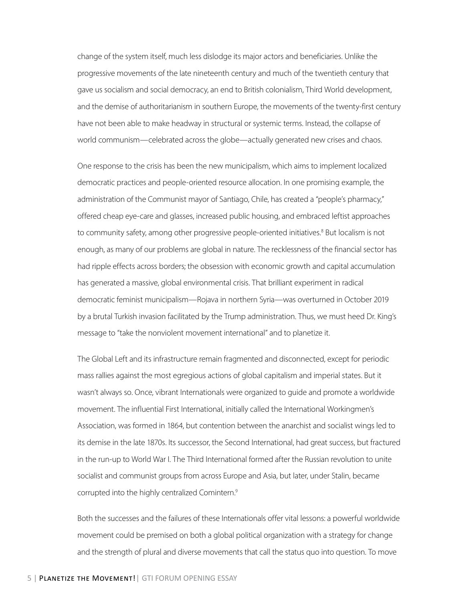change of the system itself, much less dislodge its major actors and beneficiaries. Unlike the progressive movements of the late nineteenth century and much of the twentieth century that gave us socialism and social democracy, an end to British colonialism, Third World development, and the demise of authoritarianism in southern Europe, the movements of the twenty-first century have not been able to make headway in structural or systemic terms. Instead, the collapse of world communism—celebrated across the globe—actually generated new crises and chaos.

One response to the crisis has been the new municipalism, which aims to implement localized democratic practices and people-oriented resource allocation. In one promising example, the administration of the Communist mayor of Santiago, Chile, has created a "people's pharmacy," offered cheap eye-care and glasses, increased public housing, and embraced leftist approaches to community safety, among other progressive people-oriented initiatives.<sup>8</sup> But localism is not enough, as many of our problems are global in nature. The recklessness of the financial sector has had ripple effects across borders; the obsession with economic growth and capital accumulation has generated a massive, global environmental crisis. That brilliant experiment in radical democratic feminist municipalism—Rojava in northern Syria—was overturned in October 2019 by a brutal Turkish invasion facilitated by the Trump administration. Thus, we must heed Dr. King's message to "take the nonviolent movement international" and to planetize it.

The Global Left and its infrastructure remain fragmented and disconnected, except for periodic mass rallies against the most egregious actions of global capitalism and imperial states. But it wasn't always so. Once, vibrant Internationals were organized to guide and promote a worldwide movement. The influential First International, initially called the International Workingmen's Association, was formed in 1864, but contention between the anarchist and socialist wings led to its demise in the late 1870s. Its successor, the Second International, had great success, but fractured in the run-up to World War I. The Third International formed after the Russian revolution to unite socialist and communist groups from across Europe and Asia, but later, under Stalin, became corrupted into the highly centralized Comintern.<sup>9</sup>

Both the successes and the failures of these Internationals offer vital lessons: a powerful worldwide movement could be premised on both a global political organization with a strategy for change and the strength of plural and diverse movements that call the status quo into question. To move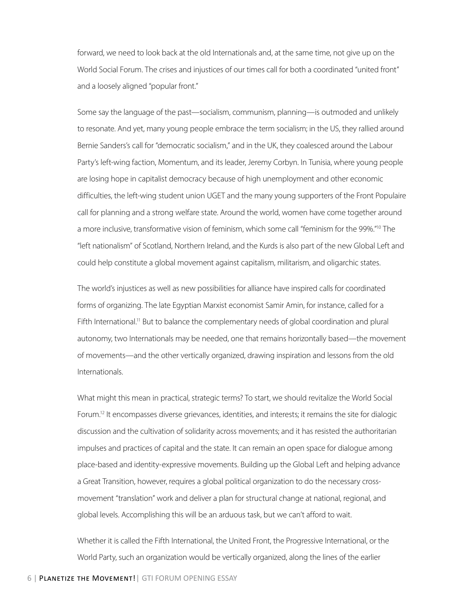forward, we need to look back at the old Internationals and, at the same time, not give up on the World Social Forum. The crises and injustices of our times call for both a coordinated "united front" and a loosely aligned "popular front."

Some say the language of the past—socialism, communism, planning—is outmoded and unlikely to resonate. And yet, many young people embrace the term socialism; in the US, they rallied around Bernie Sanders's call for "democratic socialism," and in the UK, they coalesced around the Labour Party's left-wing faction, Momentum, and its leader, Jeremy Corbyn. In Tunisia, where young people are losing hope in capitalist democracy because of high unemployment and other economic difficulties, the left-wing student union UGET and the many young supporters of the Front Populaire call for planning and a strong welfare state. Around the world, women have come together around a more inclusive, transformative vision of feminism, which some call "feminism for the 99%."10 The "left nationalism" of Scotland, Northern Ireland, and the Kurds is also part of the new Global Left and could help constitute a global movement against capitalism, militarism, and oligarchic states.

The world's injustices as well as new possibilities for alliance have inspired calls for coordinated forms of organizing. The late Egyptian Marxist economist Samir Amin, for instance, called for a Fifth International.<sup>11</sup> But to balance the complementary needs of global coordination and plural autonomy, two Internationals may be needed, one that remains horizontally based—the movement of movements—and the other vertically organized, drawing inspiration and lessons from the old Internationals.

What might this mean in practical, strategic terms? To start, we should revitalize the World Social Forum.12 It encompasses diverse grievances, identities, and interests; it remains the site for dialogic discussion and the cultivation of solidarity across movements; and it has resisted the authoritarian impulses and practices of capital and the state. It can remain an open space for dialogue among place-based and identity-expressive movements. Building up the Global Left and helping advance a Great Transition, however, requires a global political organization to do the necessary crossmovement "translation" work and deliver a plan for structural change at national, regional, and global levels. Accomplishing this will be an arduous task, but we can't afford to wait.

Whether it is called the Fifth International, the United Front, the Progressive International, or the World Party, such an organization would be vertically organized, along the lines of the earlier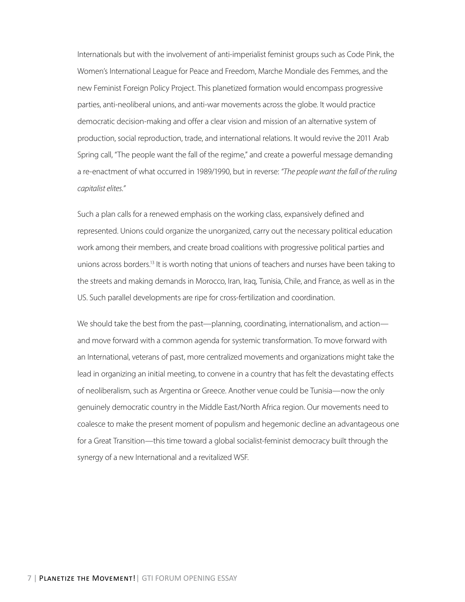Internationals but with the involvement of anti-imperialist feminist groups such as Code Pink, the Women's International League for Peace and Freedom, Marche Mondiale des Femmes, and the new Feminist Foreign Policy Project. This planetized formation would encompass progressive parties, anti-neoliberal unions, and anti-war movements across the globe. It would practice democratic decision-making and offer a clear vision and mission of an alternative system of production, social reproduction, trade, and international relations. It would revive the 2011 Arab Spring call, "The people want the fall of the regime," and create a powerful message demanding a re-enactment of what occurred in 1989/1990, but in reverse: *"The people want the fall of the ruling capitalist elites."*

Such a plan calls for a renewed emphasis on the working class, expansively defined and represented. Unions could organize the unorganized, carry out the necessary political education work among their members, and create broad coalitions with progressive political parties and unions across borders.<sup>13</sup> It is worth noting that unions of teachers and nurses have been taking to the streets and making demands in Morocco, Iran, Iraq, Tunisia, Chile, and France, as well as in the US. Such parallel developments are ripe for cross-fertilization and coordination.

We should take the best from the past—planning, coordinating, internationalism, and action and move forward with a common agenda for systemic transformation. To move forward with an International, veterans of past, more centralized movements and organizations might take the lead in organizing an initial meeting, to convene in a country that has felt the devastating effects of neoliberalism, such as Argentina or Greece. Another venue could be Tunisia—now the only genuinely democratic country in the Middle East/North Africa region. Our movements need to coalesce to make the present moment of populism and hegemonic decline an advantageous one for a Great Transition—this time toward a global socialist-feminist democracy built through the synergy of a new International and a revitalized WSF.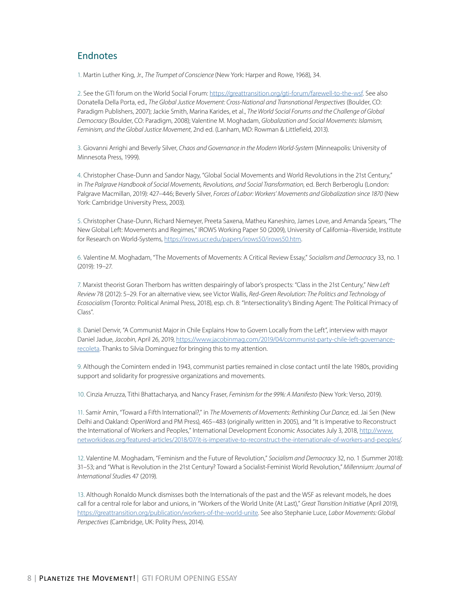### Endnotes

1. Martin Luther King, Jr., *The Trumpet of Conscience* (New York: Harper and Rowe, 1968), 34.

2. See the GTI forum on the World Social Forum: [https://greattransition.org/gti-forum/farewell-to-the-wsf.](https://greattransition.org/gti-forum/farewell-to-the-wsf) See also Donatella Della Porta, ed., *The Global Justice Movement: Cross-National and Transnational Perspectives* (Boulder, CO: Paradigm Publishers, 2007); Jackie Smith, Marina Karides, et al., *The World Social Forums and the Challenge of Global Democracy* (Boulder, CO: Paradigm, 2008); Valentine M. Moghadam, *Globalization and Social Movements: Islamism, Feminism, and the Global Justice Movement*, 2nd ed. (Lanham, MD: Rowman & Littlefield, 2013).

3. Giovanni Arrighi and Beverly Silver, *Chaos and Governance in the Modern World-System* (Minneapolis: University of Minnesota Press, 1999).

4. Christopher Chase-Dunn and Sandor Nagy, "Global Social Movements and World Revolutions in the 21st Century," in *The Palgrave Handbook of Social Movements, Revolutions, and Social Transformation*, ed. Berch Berberoglu (London: Palgrave Macmillan, 2019): 427–446; Beverly Silver, *Forces of Labor: Workers' Movements and Globalization since 1870* (New York: Cambridge University Press, 2003).

5. Christopher Chase-Dunn, Richard Niemeyer, Preeta Saxena, Matheu Kaneshiro, James Love, and Amanda Spears, "The New Global Left: Movements and Regimes," IROWS Working Paper 50 (2009), University of California–Riverside, Institute for Research on World-Systems, [https://irows.ucr.edu/papers/irows50/irows50.htm.](https://irows.ucr.edu/papers/irows50/irows50.htm)

6. Valentine M. Moghadam, "The Movements of Movements: A Critical Review Essay," *Socialism and Democracy* 33, no. 1 (2019): 19–27.

7. Marxist theorist Goran Therborn has written despairingly of labor's prospects: "Class in the 21st Century," *New Left Review* 78 (2012): 5–29. For an alternative view, see Victor Wallis, *Red-Green Revolution: The Politics and Technology of Ecosocialism* (Toronto: Political Animal Press, 2018), esp. ch. 8: "Intersectionality's Binding Agent: The Political Primacy of Class".

8. Daniel Denvir, "A Communist Major in Chile Explains How to Govern Locally from the Left", interview with mayor Daniel Jadue, *Jacobin*, April 26, 2019, [https://www.jacobinmag.com/2019/04/communist-party-chile-left-governance](https://www.jacobinmag.com/2019/04/communist-party-chile-left-governance-recoleta)[recoleta](https://www.jacobinmag.com/2019/04/communist-party-chile-left-governance-recoleta). Thanks to Silvia Dominguez for bringing this to my attention.

9. Although the Comintern ended in 1943, communist parties remained in close contact until the late 1980s, providing support and solidarity for progressive organizations and movements.

10. Cinzia Arruzza, Tithi Bhattacharya, and Nancy Fraser, *Feminism for the 99%: A Manifesto* (New York: Verso, 2019).

11. Samir Amin, "Toward a Fifth International?," in *The Movements of Movements: Rethinking Our Dance*, ed. Jai Sen (New Delhi and Oakland: OpenWord and PM Press), 465–483 (originally written in 2005), and "It is Imperative to Reconstruct the International of Workers and Peoples," International Development Economic Associates July 3, 2018, [http://www.](http://www.networkideas.org/featured-articles/2018/07/it-is-imperative-to-reconstruct-the-internationale-of-workers-and-peoples/) [networkideas.org/featured-articles/2018/07/it-is-imperative-to-reconstruct-the-internationale-of-workers-and-peoples/.](http://www.networkideas.org/featured-articles/2018/07/it-is-imperative-to-reconstruct-the-internationale-of-workers-and-peoples/)

12. Valentine M. Moghadam, "Feminism and the Future of Revolution," *Socialism and Democracy* 32, no. 1 (Summer 2018): 31–53; and "What is Revolution in the 21st Century? Toward a Socialist-Feminist World Revolution," *Millennium: Journal of International Studie*s 47 (2019).

13. Although Ronaldo Munck dismisses both the Internationals of the past and the WSF as relevant models, he does call for a central role for labor and unions, in "Workers of the World Unite (At Last)," *Great Transition Initiative* (April 2019), [https://greattransition.org/publication/workers-of-the-world-unite.](https://greattransition.org/publication/workers-of-the-world-unite) See also Stephanie Luce, *Labor Movements: Global Perspectives* (Cambridge, UK: Polity Press, 2014).